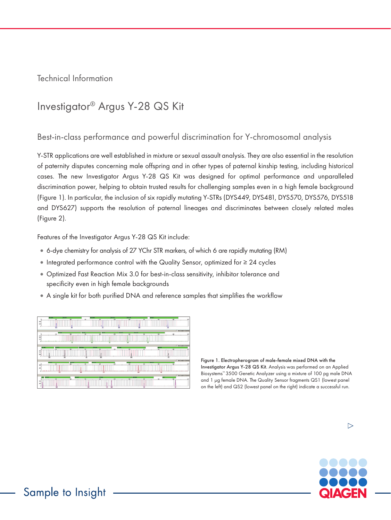Technical Information

# Investigator® Argus Y-28 QS Kit

### Best-in-class performance and powerful discrimination for Y-chromosomal analysis

Y-STR applications are well established in mixture or sexual assault analysis. They are also essential in the resolution of paternity disputes concerning male offspring and in other types of paternal kinship testing, including historical cases. The new Investigator Argus Y-28 QS Kit was designed for optimal performance and unparalleled discrimination power, helping to obtain trusted results for challenging samples even in a high female background (Figure 1). In particular, the inclusion of six rapidly mutating Y-STRs (DYS449, DYS481, DYS570, DYS576, DYS518 and DYS627) supports the resolution of paternal lineages and discriminates between closely related males (Figure 2).

Features of the Investigator Argus Y-28 QS Kit include:

- •6-dye chemistry for analysis of 27 YChr STR markers, of which 6 are rapidly mutating (RM)
- •Integrated performance control with the Quality Sensor, optimized for ≥ 24 cycles
- •Optimized Fast Reaction Mix 3.0 for best-in-class sensitivity, inhibitor tolerance and specificity even in high female backgrounds
- •A single kit for both purified DNA and reference samples that simplifies the workflow

|                 | $\rightarrow$                 |                                                      |                                                  | $\overline{m}$                             | ۰                                | $\overline{}$                            | ٠                                                   |
|-----------------|-------------------------------|------------------------------------------------------|--------------------------------------------------|--------------------------------------------|----------------------------------|------------------------------------------|-----------------------------------------------------|
|                 | $\rightarrow$                 | $\overline{\phantom{a}}$<br>$\overline{\phantom{a}}$ | $\overline{a}$<br>$\frac{1}{2}$                  | <b>SITUATI</b><br>$\sim$<br>$\overline{1}$ | <b>Buffalo</b><br>$\overline{1}$ | $\equiv$                                 | <b>IT Hart Sample for Showler</b><br>۰<br><b>CO</b> |
| ۰               |                               |                                                      |                                                  |                                            |                                  |                                          |                                                     |
| $\sim$          |                               | $\overline{ }$                                       | $\sim$<br>$\overline{ }$                         | $\sim$                                     | $\overline{ }$                   |                                          | <b>IT Han Sangle for Dondar</b><br>$\overline{ }$   |
| ۰<br>×          |                               |                                                      |                                                  |                                            |                                  |                                          |                                                     |
|                 | <b>HALL</b><br>$\overline{ }$ | ÷                                                    | <b>COLOR</b><br>$\overline{ }$<br>$\overline{a}$ | ÷                                          | $\sim$<br>$\overline{1}$         | <b>STAR</b><br>$\equiv$<br>$\overline{}$ | IT Heldergit hy Dolder                              |
|                 |                               |                                                      |                                                  |                                            |                                  |                                          |                                                     |
|                 | $\sim$                        | m                                                    | $\sim$                                           | $\overline{1}$                             | $\overline{\phantom{a}}$         |                                          | IT Metchergis for Deadler                           |
| <b>SHE</b><br>÷ |                               |                                                      |                                                  |                                            |                                  |                                          |                                                     |

Figure 1. Electropherogram of male-female mixed DNA with the Investigator Argus Y-28 QS Kit. Analysis was performed on an Applied Biosystems™ 3500 Genetic Analyzer using a mixture of 100 pg male DNA and 1 µg female DNA. The Quality Sensor fragments QS1 (lowest panel on the left) and QS2 (lowest panel on the right) indicate a successful run.

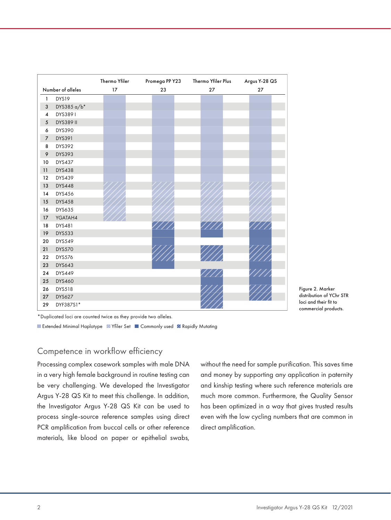|                     |                  | Thermo Yfiler | Thermo Yfiler Plus<br>Promega PP Y23 |               | Argus Y-28 QS |  |
|---------------------|------------------|---------------|--------------------------------------|---------------|---------------|--|
| Number of alleles   |                  | 17            | 23                                   | 27            | 27            |  |
| $\mathbf{1}$        | DYS19            |               |                                      |               |               |  |
| 3                   | DYS385 a/b*      |               |                                      |               |               |  |
| $\overline{\bf{4}}$ | DYS3891          |               |                                      |               |               |  |
| 5                   | <b>DYS389 II</b> |               |                                      |               |               |  |
| 6                   | DYS390           |               |                                      |               |               |  |
| $\overline{7}$      | DYS391           |               |                                      |               |               |  |
| 8                   | DYS392           |               |                                      |               |               |  |
| 9                   | DYS393           |               |                                      |               |               |  |
| 10                  | <b>DYS437</b>    |               |                                      |               |               |  |
| 11                  | <b>DYS438</b>    |               |                                      |               |               |  |
| 12                  | DYS439           |               |                                      |               |               |  |
| 13                  | <b>DYS448</b>    |               |                                      |               |               |  |
| 14                  | <b>DYS456</b>    |               |                                      |               |               |  |
| 15                  | <b>DYS458</b>    |               |                                      |               |               |  |
| 16                  | DYS635           |               |                                      |               |               |  |
| 17                  | YGATAH4          |               |                                      |               |               |  |
| 18                  | DYS481           |               |                                      | $\frac{1}{2}$ |               |  |
| 19                  | <b>DYS533</b>    |               |                                      |               |               |  |
| 20                  | DYS549           |               |                                      |               |               |  |
| 21                  | <b>DYS570</b>    |               |                                      |               |               |  |
| 22                  | <b>DYS576</b>    |               |                                      |               |               |  |
| 23                  | <b>DYS643</b>    |               |                                      |               |               |  |
| 24                  | DYS449           |               |                                      |               |               |  |
| 25                  | <b>DYS460</b>    |               |                                      |               |               |  |
| 26                  | <b>DYS518</b>    |               |                                      |               |               |  |
| 27                  | <b>DYS627</b>    |               |                                      |               |               |  |
| 29                  | DYF387S1*        |               |                                      |               |               |  |

Figure 2. Marker distribution of YChr STR loci and their fit to commercial products.

\*Duplicated loci are counted twice as they provide two alleles.

**Extended Minimal Haplotype ZYfiler Set Commonly used Z Rapidly Mutating** 

### Competence in workflow efficiency

Processing complex casework samples with male DNA in a very high female background in routine testing can be very challenging. We developed the Investigator Argus Y-28 QS Kit to meet this challenge. In addition, the Investigator Argus Y-28 QS Kit can be used to process single-source reference samples using direct PCR amplification from buccal cells or other reference materials, like blood on paper or epithelial swabs,

without the need for sample purification. This saves time and money by supporting any application in paternity and kinship testing where such reference materials are much more common. Furthermore, the Quality Sensor has been optimized in a way that gives trusted results even with the low cycling numbers that are common in direct amplification.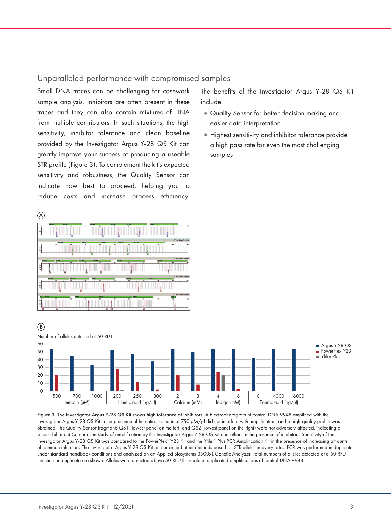#### Unparalleled performance with compromised samples

Small DNA traces can be challenging for casework sample analysis. Inhibitors are often present in these traces and they can also contain mixtures of DNA from multiple contributors. In such situations, the high sensitivity, inhibitor tolerance and clean baseline provided by the Investigator Argus Y-28 QS Kit can greatly improve your success of producing a useable STR profile (Figure 3). To complement the kit's expected sensitivity and robustness, the Quality Sensor can indicate how best to proceed, helping you to reduce costs and increase process efficiency. The benefits of the Investigator Argus Y-28 QS Kit include:

- •Quality Sensor for better decision making and easier data interpretation
- •Highest sensitivity and inhibitor tolerance provide a high pass rate for even the most challenging samples





Figure 3. The Investigator Argus Y-28 QS Kit shows high tolerance of inhibitors. A Electropherogram of control DNA 9948 amplified with the Investigator Argus Y-28 QS Kit in the presence of hematin. Hematin at 750 µM/µl did not interfere with amplification, and a high-quality profile was obtained. The Quality Sensor fragments QS1 (lowest panel on the left) and QS2 (lowest panel on the right) were not adversely affected, indicating a successful run. B Comparison study of amplification by the Investigator Argus Y-28 QS Kit and others in the presence of inhibitors. Sensitivity of the Investigator Argus Y-28 QS Kit was compared to the PowerPlex® Y23 Kit and the Yfiler™ Plus PCR Amplification Kit in the presence of increasing amounts of common inhibitors. The Investigator Argus Y-28 QS Kit outperformed other methods based on STR allele recovery rates. PCR was performed in duplicate under standard handbook conditions and analyzed on an Applied Biosystems 3500xL Genetic Analyzer. Total numbers of alleles detected at a 50 RFU threshold in duplicate are shown. Alleles were detected above 50 RFU threshold in duplicated amplifications of control DNA 9948.

B